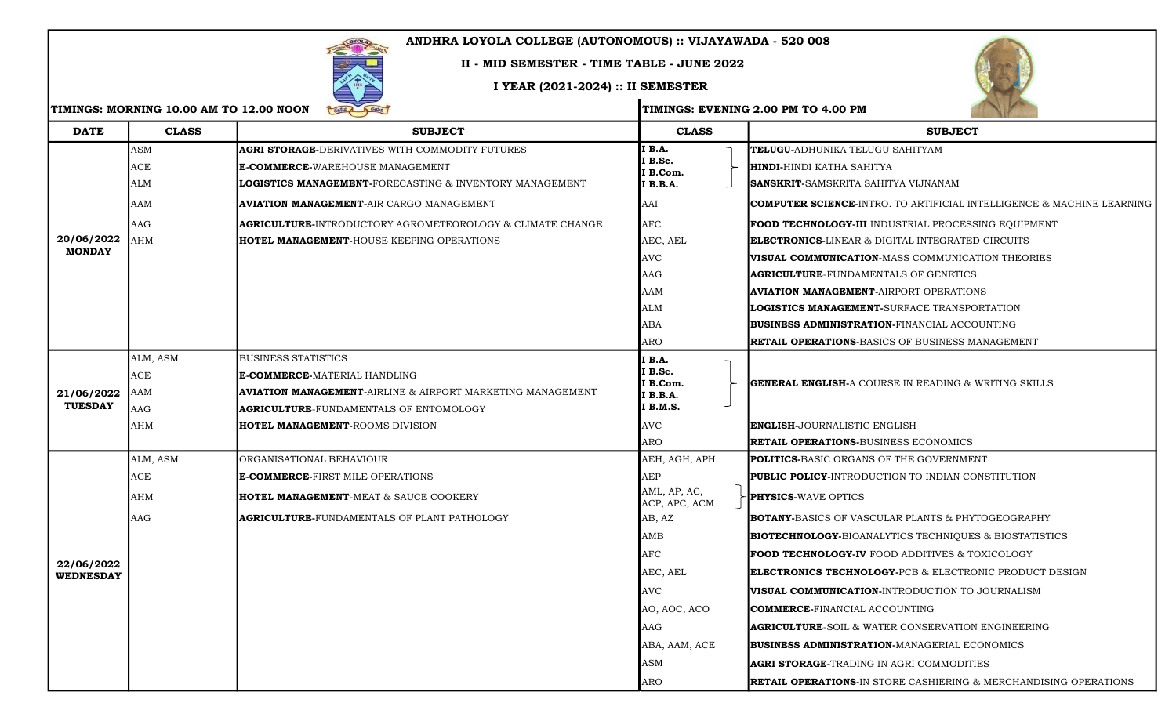## ANDHRA LOYOLA COLLEGE (AUTONOMOUS) :: VIJAYAWADA - 520 008

## II - MID SEMESTER - TIME TABLE - JUNE 2022

## I YEAR (2021-2024) :: II SEMESTER





| <b>DATE</b>                    | <b>CLASS</b> | <b>SUBJECT</b>                                                     | <b>CLASS</b>                  | <b>SUBJECT</b>                                                                   |
|--------------------------------|--------------|--------------------------------------------------------------------|-------------------------------|----------------------------------------------------------------------------------|
| 20/06/2022<br><b>MONDAY</b>    | ASM          | <b>AGRI STORAGE-</b> DERIVATIVES WITH COMMODITY FUTURES            | I B.A.                        | TELUGU-ADHUNIKA TELUGU SAHITYAM                                                  |
|                                | ACE          | <b>E-COMMERCE-WAREHOUSE MANAGEMENT</b>                             | I B.Sc.<br>I B.Com.           | <b>HINDI-HINDI KATHA SAHITYA</b>                                                 |
|                                | ALM          | LOGISTICS MANAGEMENT-FORECASTING & INVENTORY MANAGEMENT            | I B.B.A.                      | <b>SANSKRIT-</b> SAMSKRITA SAHITYA VIJNANAM                                      |
|                                | AAM          | AVIATION MANAGEMENT-AIR CARGO MANAGEMENT                           | AAI                           | <b>COMPUTER SCIENCE-INTRO. TO ARTIFICIAL INTELLIGENCE &amp; MACHINE LEARNING</b> |
|                                | AAG          | <b>AGRICULTURE-</b> INTRODUCTORY AGROMETEOROLOGY & CLIMATE CHANGE  | <b>AFC</b>                    | FOOD TECHNOLOGY-III INDUSTRIAL PROCESSING EQUIPMENT                              |
|                                | AHM          | <b>HOTEL MANAGEMENT-HOUSE KEEPING OPERATIONS</b>                   | AEC, AEL                      | <b>ELECTRONICS-LINEAR &amp; DIGITAL INTEGRATED CIRCUITS</b>                      |
|                                |              |                                                                    | <b>AVC</b>                    | <b>VISUAL COMMUNICATION-MASS COMMUNICATION THEORIES</b>                          |
|                                |              |                                                                    | AAG                           | <b>AGRICULTURE-FUNDAMENTALS OF GENETICS</b>                                      |
|                                |              |                                                                    | AAM                           | <b>AVIATION MANAGEMENT-AIRPORT OPERATIONS</b>                                    |
|                                |              |                                                                    | ALM                           | <b>LOGISTICS MANAGEMENT-SURFACE TRANSPORTATION</b>                               |
|                                |              |                                                                    | ABA                           | BUSINESS ADMINISTRATION-FINANCIAL ACCOUNTING                                     |
|                                |              |                                                                    | <b>ARO</b>                    | <b>RETAIL OPERATIONS-BASICS OF BUSINESS MANAGEMENT</b>                           |
|                                | ALM, ASM     | <b>BUSINESS STATISTICS</b>                                         | <b>I</b> B.A.                 |                                                                                  |
|                                | ACE          | E-COMMERCE-MATERIAL HANDLING                                       | I B.Sc.<br>I B.Com.           | <b>GENERAL ENGLISH-A COURSE IN READING &amp; WRITING SKILLS</b>                  |
| 21/06/2022<br><b>TUESDAY</b>   | AAM          | <b>AVIATION MANAGEMENT-</b> AIRLINE & AIRPORT MARKETING MANAGEMENT | I B.B.A.                      |                                                                                  |
|                                | AAG          | <b>AGRICULTURE</b> -FUNDAMENTALS OF ENTOMOLOGY                     | I B.M.S.                      |                                                                                  |
|                                | AHM          | <b>HOTEL MANAGEMENT-ROOMS DIVISION</b>                             | <b>AVC</b>                    | <b>ENGLISH-JOURNALISTIC ENGLISH</b>                                              |
|                                |              |                                                                    | <b>ARO</b>                    | <b>RETAIL OPERATIONS-BUSINESS ECONOMICS</b>                                      |
|                                | ALM, ASM     | ORGANISATIONAL BEHAVIOUR                                           | AEH, AGH, APH                 | <b>POLITICS-BASIC ORGANS OF THE GOVERNMENT</b>                                   |
|                                | ACE          | <b>E-COMMERCE-FIRST MILE OPERATIONS</b>                            | AEP                           | <b>PUBLIC POLICY-INTRODUCTION TO INDIAN CONSTITUTION</b>                         |
|                                | AHM          | <b>HOTEL MANAGEMENT-MEAT &amp; SAUCE COOKERY</b>                   | AML, AP, AC,<br>ACP, APC, ACM | <b>PHYSICS-WAVE OPTICS</b>                                                       |
|                                | AAG          | <b>AGRICULTURE-FUNDAMENTALS OF PLANT PATHOLOGY</b>                 | AB, AZ                        | <b>BOTANY-</b> BASICS OF VASCULAR PLANTS & PHYTOGEOGRAPHY                        |
|                                |              |                                                                    | AMB                           | <b>BIOTECHNOLOGY-BIOANALYTICS TECHNIQUES &amp; BIOSTATISTICS</b>                 |
|                                |              |                                                                    | <b>AFC</b>                    | <b>FOOD TECHNOLOGY-IV</b> FOOD ADDITIVES & TOXICOLOGY                            |
| 22/06/2022<br><b>WEDNESDAY</b> |              |                                                                    | AEC, AEL                      | ELECTRONICS TECHNOLOGY-PCB & ELECTRONIC PRODUCT DESIGN                           |
|                                |              |                                                                    | <b>AVC</b>                    | <b>VISUAL COMMUNICATION-INTRODUCTION TO JOURNALISM</b>                           |
|                                |              |                                                                    | AO, AOC, ACO                  | <b>COMMERCE-FINANCIAL ACCOUNTING</b>                                             |
|                                |              |                                                                    | AAG                           | <b>AGRICULTURE-SOIL &amp; WATER CONSERVATION ENGINEERING</b>                     |
|                                |              |                                                                    | ABA, AAM, ACE                 | <b>BUSINESS ADMINISTRATION-MANAGERIAL ECONOMICS</b>                              |
|                                |              |                                                                    | ASM                           | <b> AGRI STORAGE-</b> TRADING IN AGRI COMMODITIES                                |
|                                |              |                                                                    | ARO                           | <b>RETAIL OPERATIONS-IN STORE CASHIERING &amp; MERCHANDISING OPERATIONS</b>      |